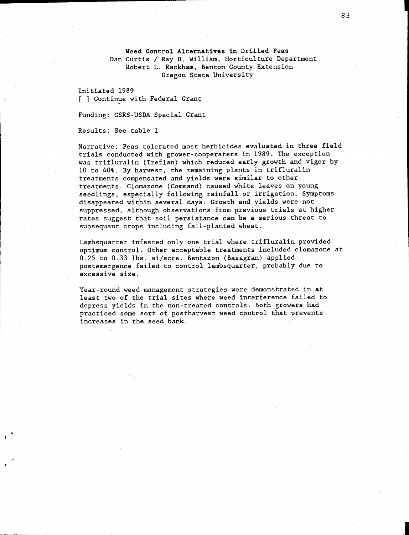Weed Control Alternatives in Drilled Peas Dan Curtis / Ray D. William, Horticulture Department Robert L. Rackham, Benton County Extension Oregon State University

Initiated 1989 [ ] Continue with Federal Grant

Funding: CSRS-USDA Special Grant

Results: See table 1

Narrative: Peas tolerated most herbicides evaluated in three field trials conducted with grower-cooperaters in 1989. The exception was trifluralin (Treflan) which reduced early growth and vigor by 10 to 40%. By harvest, the remaining plants in trifluralin treatments compensated and yields were similar to other treatments. Clomazone (Command) caused white leaves on young seedlings, especially following rainfall or irrigation. Symptoms disappeared within several days. Growth and yields were not suppressed, although observations from previous trials at higher rates suggest that soil persistance can be a serious threat to subsequant crops including fall-planted wheat.

Lambsquarter infested only one trial where trifluralin provided optimum control. Other acceptable treatments included clomazone at 0.25 to 0.33 lbs. ai/acre. Bentazon (Basagran) applied postemergence failed to control lambsquarter, probably due to excessive size.

Year-round weed management strategies were demonstrated in at least two of the trial sites where weed interference failed to depress yields in the non-treated controls. Both growers had practiced some sort of postharvest weed control that prevents increases in the seed bank.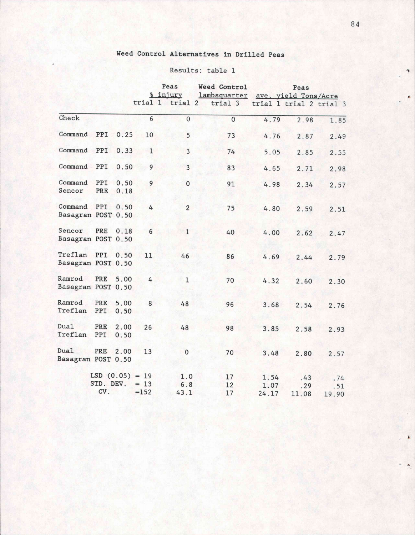## Weed Control Alternatives in Drilled Peas

## Results: table 1 1

|                                        |                                      |              | Peas             |                    | Weed Control                                    | Peas                  |                     |                     |
|----------------------------------------|--------------------------------------|--------------|------------------|--------------------|-------------------------------------------------|-----------------------|---------------------|---------------------|
|                                        |                                      |              |                  | % injury           | lambsquarter                                    | ave. yield Tons/Acre  |                     |                     |
|                                        |                                      |              |                  |                    | trial 1 trial 2 trial 3 trial 1 trial 2 trial 3 |                       |                     |                     |
| Check                                  |                                      |              | 6                | $\overline{0}$     | $\overline{0}$                                  | 4.79                  | 2.98                | 1.85                |
| Command                                | PPI                                  | 0.25         | 10               | 5                  | 73                                              | 4.76                  | 2.87                | 2.49                |
| Command                                | PPI                                  | 0.33         | $\mathbf{1}$     | 3                  | 74                                              | 5.05                  | 2.85                | 2.55                |
| Command                                | PPI                                  | 0.50         | $\overline{9}$   | $\overline{3}$     | 83                                              | 4.65                  | 2.71                | 2.98                |
| Command<br>Sencor                      | PPI<br>PRE                           | 0.50<br>0.18 | 9                | $\mathbf 0$        | 91                                              | 4.98                  | 2.34                | 2.57                |
| Command<br>Basagran POST 0.50          | PPI                                  | 0.50         | 4                | $\overline{2}$     | 75                                              | 4.80                  | 2.59                | 2.51                |
| Sencor<br>Basagran POST 0.50           | PRE                                  | 0.18         | 6                | $\mathbf{1}$       | 40                                              | 4.00                  | 2.62                | 2.47                |
| Treflan PPI 0.50<br>Basagran POST 0.50 |                                      |              | 11               | 46                 | 86                                              | 4.69                  | 2.44                | 2.79                |
| Ramrod<br>Basagran POST 0.50           | PRE                                  | 5.00         | 4                | $\mathbf{1}$       | 70                                              | 4.32                  | 2.60                | 2.30                |
| Ramrod<br>Treflan                      | PRE<br>PPI                           | 5.00<br>0.50 | 8                | 48                 | 96                                              | 3.68                  | 2.54                | 2.76                |
| Dual<br>Treflan                        | PRE<br>PPI                           | 2.00<br>0.50 | 26               | 48                 | 98                                              | 3.85                  | 2.58                | 2.93                |
| Dual<br>Basagran POST 0.50             | PRE                                  | 2.00         | 13               | $\mathbf{O}$       | 70                                              | 3.48                  | 2.80                | 2.57                |
|                                        | $LSD(0.05) = 19$<br>STD. DEV.<br>CV. |              | $= 13$<br>$=152$ | 1.0<br>6.8<br>43.1 | 17<br>12<br>17                                  | 1.54<br>1.07<br>24.17 | .43<br>.29<br>11.08 | .74<br>.51<br>19.90 |

A.